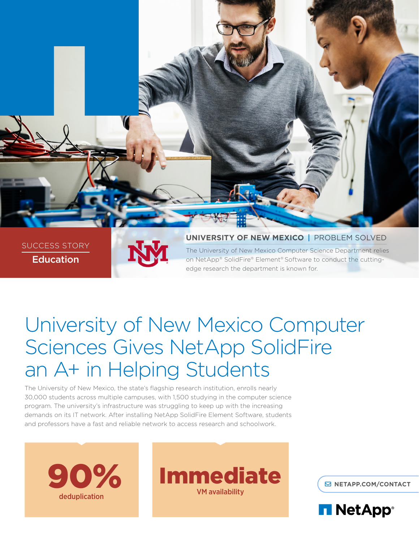

SUCCESS STORY Education



**UNIVERSITY OF NEW MEXICO** | PROBLEM SOLVED The University of New Mexico Computer Science Department relies on NetApp® SolidFire® Element® Software to conduct the cuttingedge research the department is known for.

# University of New Mexico Computer Sciences Gives NetApp SolidFire an A+ in Helping Students

The University of New Mexico, the state's flagship research institution, enrolls nearly 30,000 students across multiple campuses, with 1,500 studying in the computer science program. The university's infrastructure was struggling to keep up with the increasing demands on its IT network. After installing NetApp SolidFire Element Software, students and professors have a fast and reliable network to access research and schoolwork.





**[NETAPP.COM/CONTACT](http://www.netapp.com/us/contact-us/index.aspx)**

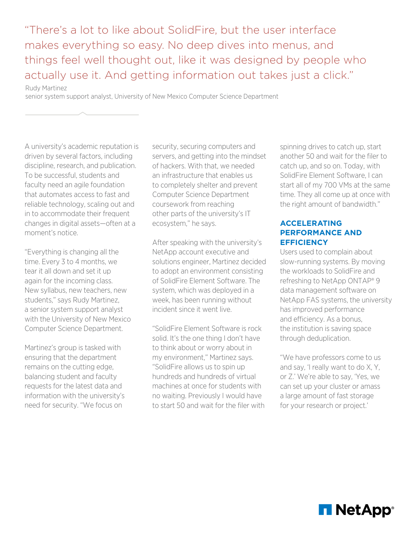"There's a lot to like about SolidFire, but the user interface makes everything so easy. No deep dives into menus, and things feel well thought out, like it was designed by people who actually use it. And getting information out takes just a click."

Rudy Martinez

senior system support analyst, University of New Mexico Computer Science Department

A university's academic reputation is driven by several factors, including discipline, research, and publication. To be successful, students and faculty need an agile foundation that automates access to fast and reliable technology, scaling out and in to accommodate their frequent changes in digital assets—often at a moment's notice.

"Everything is changing all the time. Every 3 to 4 months, we tear it all down and set it up again for the incoming class. New syllabus, new teachers, new students," says Rudy Martinez, a senior system support analyst with the University of New Mexico Computer Science Department.

Martinez's group is tasked with ensuring that the department remains on the cutting edge, balancing student and faculty requests for the latest data and information with the university's need for security. "We focus on

security, securing computers and servers, and getting into the mindset of hackers. With that, we needed an infrastructure that enables us to completely shelter and prevent Computer Science Department coursework from reaching other parts of the university's IT ecosystem," he says.

After speaking with the university's NetApp account executive and solutions engineer, Martinez decided to adopt an environment consisting of SolidFire Element Software. The system, which was deployed in a week, has been running without incident since it went live.

"SolidFire Element Software is rock solid. It's the one thing I don't have to think about or worry about in my environment," Martinez says. "SolidFire allows us to spin up hundreds and hundreds of virtual machines at once for students with no waiting. Previously I would have to start 50 and wait for the filer with spinning drives to catch up, start another 50 and wait for the filer to catch up, and so on. Today, with SolidFire Element Software, I can start all of my 700 VMs at the same time. They all come up at once with the right amount of bandwidth."

## **ACCELERATING PERFORMANCE AND EFFICIENCY**

Users used to complain about slow-running systems. By moving the workloads to SolidFire and refreshing to NetApp ONTAP® 9 data management software on NetApp FAS systems, the university has improved performance and efficiency. As a bonus, the institution is saving space through deduplication.

"We have professors come to us and say, 'I really want to do X, Y, or Z.' We're able to say, 'Yes, we can set up your cluster or amass a large amount of fast storage for your research or project.'